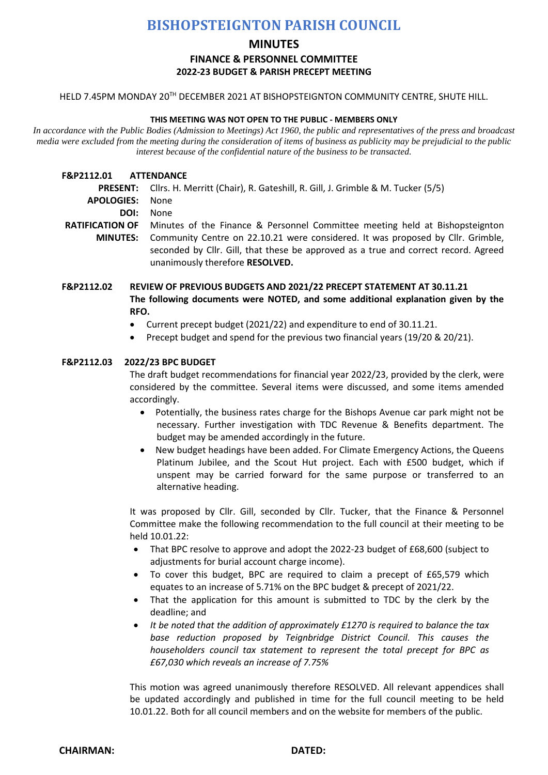# **BISHOPSTEIGNTON PARISH COUNCIL**

# **MINUTES**

# **FINANCE & PERSONNEL COMMITTEE**

## **2022-23 BUDGET & PARISH PRECEPT MEETING**

HELD 7.45PM MONDAY 20<sup>TH</sup> DECEMBER 2021 AT BISHOPSTEIGNTON COMMUNITY CENTRE, SHUTE HILL.

#### **THIS MEETING WAS NOT OPEN TO THE PUBLIC - MEMBERS ONLY**

*In accordance with the Public Bodies (Admission to Meetings) Act 1960, the public and representatives of the press and broadcast media were excluded from the meeting during the consideration of items of business as publicity may be prejudicial to the public interest because of the confidential nature of the business to be transacted.*

- **F&P2112.01 ATTENDANCE**
	- **PRESENT:** Cllrs. H. Merritt (Chair), R. Gateshill, R. Gill, J. Grimble & M. Tucker (5/5)
	- **APOLOGIES:** None
		- **DOI:** None
- RATIFICATION OF Minutes of the Finance & Personnel Committee meeting held at Bishopsteignton **MINUTES:** Community Centre on 22.10.21 were considered. It was proposed by Cllr. Grimble, seconded by Cllr. Gill, that these be approved as a true and correct record. Agreed unanimously therefore **RESOLVED.**
- **F&P2112.02 REVIEW OF PREVIOUS BUDGETS AND 2021/22 PRECEPT STATEMENT AT 30.11.21 The following documents were NOTED, and some additional explanation given by the RFO.**
	- Current precept budget (2021/22) and expenditure to end of 30.11.21.
	- Precept budget and spend for the previous two financial years (19/20 & 20/21).

## **F&P2112.03 2022/23 BPC BUDGET**

The draft budget recommendations for financial year 2022/23, provided by the clerk, were considered by the committee. Several items were discussed, and some items amended accordingly.

- Potentially, the business rates charge for the Bishops Avenue car park might not be necessary. Further investigation with TDC Revenue & Benefits department. The budget may be amended accordingly in the future.
- New budget headings have been added. For Climate Emergency Actions, the Queens Platinum Jubilee, and the Scout Hut project. Each with £500 budget, which if unspent may be carried forward for the same purpose or transferred to an alternative heading.

It was proposed by Cllr. Gill, seconded by Cllr. Tucker, that the Finance & Personnel Committee make the following recommendation to the full council at their meeting to be held 10.01.22:

- That BPC resolve to approve and adopt the 2022-23 budget of £68,600 (subject to adjustments for burial account charge income).
- To cover this budget, BPC are required to claim a precept of £65,579 which equates to an increase of 5.71% on the BPC budget & precept of 2021/22.
- That the application for this amount is submitted to TDC by the clerk by the deadline; and
- *It be noted that the addition of approximately £1270 is required to balance the tax base reduction proposed by Teignbridge District Council. This causes the householders council tax statement to represent the total precept for BPC as £67,030 which reveals an increase of 7.75%*

This motion was agreed unanimously therefore RESOLVED. All relevant appendices shall be updated accordingly and published in time for the full council meeting to be held 10.01.22. Both for all council members and on the website for members of the public.